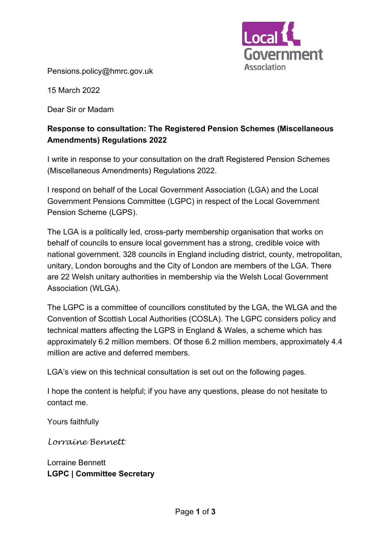

Pensions.policy@hmrc.gov.uk

15 March 2022

Dear Sir or Madam

# **Response to consultation: The Registered Pension Schemes (Miscellaneous Amendments) Regulations 2022**

I write in response to your consultation on the draft Registered Pension Schemes (Miscellaneous Amendments) Regulations 2022.

I respond on behalf of the Local Government Association (LGA) and the Local Government Pensions Committee (LGPC) in respect of the Local Government Pension Scheme (LGPS).

The LGA is a politically led, cross-party membership organisation that works on behalf of councils to ensure local government has a strong, credible voice with national government. 328 councils in England including district, county, metropolitan, unitary, London boroughs and the City of London are members of the LGA. There are 22 Welsh unitary authorities in membership via the Welsh Local Government Association (WLGA).

The LGPC is a committee of councillors constituted by the LGA, the WLGA and the Convention of Scottish Local Authorities (COSLA). The LGPC considers policy and technical matters affecting the LGPS in England & Wales, a scheme which has approximately 6.2 million members. Of those 6.2 million members, approximately 4.4 million are active and deferred members.

LGA's view on this technical consultation is set out on the following pages.

I hope the content is helpful; if you have any questions, please do not hesitate to contact me.

Yours faithfully

*Lorraine Bennett* 

Lorraine Bennett **LGPC | Committee Secretary**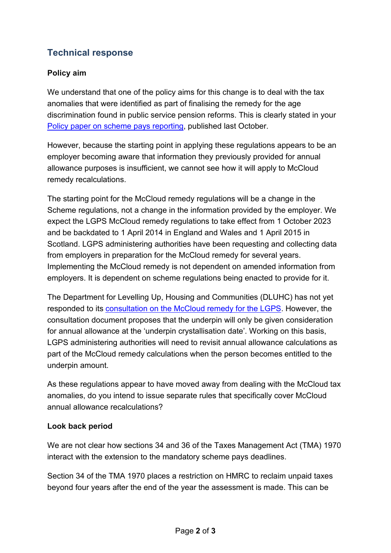# **Technical response**

## **Policy aim**

We understand that one of the policy aims for this change is to deal with the tax anomalies that were identified as part of finalising the remedy for the age discrimination found in public service pension reforms. This is clearly stated in your [Policy paper on scheme pays reporting,](https://www.gov.uk/government/publications/pension-scheme-pays-reporting-information-and-notice-deadlines/pension-scheme-pays-reporting-information-and-notice-deadlines) published last October.

However, because the starting point in applying these regulations appears to be an employer becoming aware that information they previously provided for annual allowance purposes is insufficient, we cannot see how it will apply to McCloud remedy recalculations.

The starting point for the McCloud remedy regulations will be a change in the Scheme regulations, not a change in the information provided by the employer. We expect the LGPS McCloud remedy regulations to take effect from 1 October 2023 and be backdated to 1 April 2014 in England and Wales and 1 April 2015 in Scotland. LGPS administering authorities have been requesting and collecting data from employers in preparation for the McCloud remedy for several years. Implementing the McCloud remedy is not dependent on amended information from employers. It is dependent on scheme regulations being enacted to provide for it.

The Department for Levelling Up, Housing and Communities (DLUHC) has not yet responded to its [consultation on the McCloud remedy for the LGPS.](https://www.lgpslibrary.org/assets/cons/lgpsew/20200716_CD.pdf) However, the consultation document proposes that the underpin will only be given consideration for annual allowance at the 'underpin crystallisation date'. Working on this basis, LGPS administering authorities will need to revisit annual allowance calculations as part of the McCloud remedy calculations when the person becomes entitled to the underpin amount.

As these regulations appear to have moved away from dealing with the McCloud tax anomalies, do you intend to issue separate rules that specifically cover McCloud annual allowance recalculations?

#### **Look back period**

We are not clear how sections 34 and 36 of the Taxes Management Act (TMA) 1970 interact with the extension to the mandatory scheme pays deadlines.

Section 34 of the TMA 1970 places a restriction on HMRC to reclaim unpaid taxes beyond four years after the end of the year the assessment is made. This can be